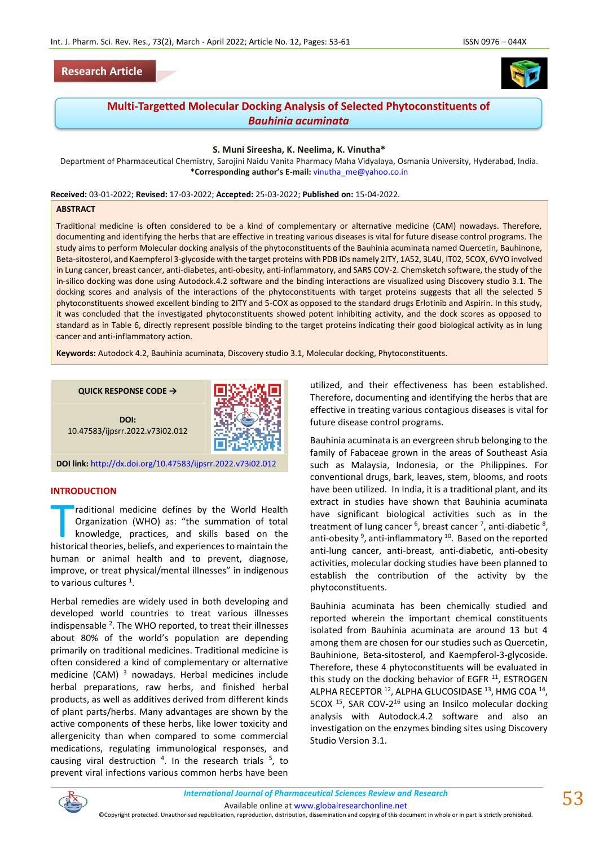

# **Multi-Targetted Molecular Docking Analysis of Selected Phytoconstituents of**  *Bauhinia acuminata*

#### **S. Muni Sireesha, K. Neelima, K. Vinutha\***

Department of Pharmaceutical Chemistry, Sarojini Naidu Vanita Pharmacy Maha Vidyalaya, Osmania University, Hyderabad, India. **\*Corresponding author's E-mail:** [vinutha\\_me@yahoo.co.in](mailto:vinutha_me@yahoo.co.in)

**Received:** 03-01-2022; **Revised:** 17-03-2022; **Accepted:** 25-03-2022; **Published on:** 15-04-2022.

#### **ABSTRACT**

Traditional medicine is often considered to be a kind of complementary or alternative medicine (CAM) nowadays. Therefore, documenting and identifying the herbs that are effective in treating various diseases is vital for future disease control programs. The study aims to perform Molecular docking analysis of the phytoconstituents of the Bauhinia acuminata named Quercetin, Bauhinone, Beta-sitosterol, and Kaempferol 3-glycoside with the target proteins with PDB IDs namely 2ITY, 1A52, 3L4U, IT02, 5COX, 6VYO involved in Lung cancer, breast cancer, anti-diabetes, anti-obesity, anti-inflammatory, and SARS COV-2. Chemsketch software, the study of the in-silico docking was done using Autodock.4.2 software and the binding interactions are visualized using Discovery studio 3.1. The docking scores and analysis of the interactions of the phytoconstituents with target proteins suggests that all the selected 5 phytoconstituents showed excellent binding to 2ITY and 5-COX as opposed to the standard drugs Erlotinib and Aspirin. In this study, it was concluded that the investigated phytoconstituents showed potent inhibiting activity, and the dock scores as opposed to standard as in Table 6, directly represent possible binding to the target proteins indicating their good biological activity as in lung cancer and anti-inflammatory action.

**Keywords:** Autodock 4.2, Bauhinia acuminata, Discovery studio 3.1, Molecular docking, Phytoconstituents.

**QUICK RESPONSE CODE →**



**DOI:** 10.47583/ijpsrr.2022.v73i02.012

**DOI link:** <http://dx.doi.org/10.47583/ijpsrr.2022.v73i02.012>

#### **INTRODUCTION**

raditional medicine defines by the World Health Organization (WHO) as: "the summation of total knowledge, practices, and skills based on the raditional medicine defines by the World Health<br>Organization (WHO) as: "the summation of total<br>knowledge, practices, and skills based on the<br>historical theories, beliefs, and experiences to maintain the human or animal health and to prevent, diagnose, improve, or treat physical/mental illnesses" in indigenous to various cultures  $^1$ .

Herbal remedies are widely used in both developing and developed world countries to treat various illnesses indispensable <sup>2</sup>. The WHO reported, to treat their illnesses about 80% of the world's population are depending primarily on traditional medicines. Traditional medicine is often considered a kind of complementary or alternative medicine (CAM)  $3$  nowadays. Herbal medicines include herbal preparations, raw herbs, and finished herbal products, as well as additives derived from different kinds of plant parts/herbs. Many advantages are shown by the active components of these herbs, like lower toxicity and allergenicity than when compared to some commercial medications, regulating immunological responses, and causing viral destruction  $4$ . In the research trials  $5$ , to prevent viral infections various common herbs have been

utilized, and their effectiveness has been established. Therefore, documenting and identifying the herbs that are effective in treating various contagious diseases is vital for future disease control programs.

Bauhinia acuminata is an evergreen shrub belonging to the family of Fabaceae grown in the areas of Southeast Asia such as Malaysia, Indonesia, or the Philippines. For conventional drugs, bark, leaves, stem, blooms, and roots have been utilized. In India, it is a traditional plant, and its extract in studies have shown that Bauhinia acuminata have significant biological activities such as in the treatment of lung cancer <sup>6</sup>, breast cancer <sup>7</sup>, anti-diabetic <sup>8</sup>, anti-obesity<sup>9</sup>, anti-inflammatory<sup>10</sup>. Based on the reported anti-lung cancer, anti-breast, anti-diabetic, anti-obesity activities, molecular docking studies have been planned to establish the contribution of the activity by the phytoconstituents.

Bauhinia acuminata has been chemically studied and reported wherein the important chemical constituents isolated from Bauhinia acuminata are around 13 but 4 among them are chosen for our studies such as Quercetin, Bauhinione, Beta-sitosterol, and Kaempferol-3-glycoside. Therefore, these 4 phytoconstituents will be evaluated in this study on the docking behavior of EGFR  $^{11}$ , ESTROGEN ALPHA RECEPTOR <sup>12</sup>, ALPHA GLUCOSIDASE <sup>13</sup>, HMG COA <sup>14</sup>, 5COX<sup>15</sup>, SAR COV-2<sup>16</sup> using an Insilco molecular docking analysis with Autodock.4.2 software and also an investigation on the enzymes binding sites using Discovery Studio Version 3.1.



*International Journal of Pharmaceutical Sciences Review and Research International Journal of Pharmaceutical Sciences Review and Research*

Available online a[t www.globalresearchonline.net](http://www.globalresearchonline.net/)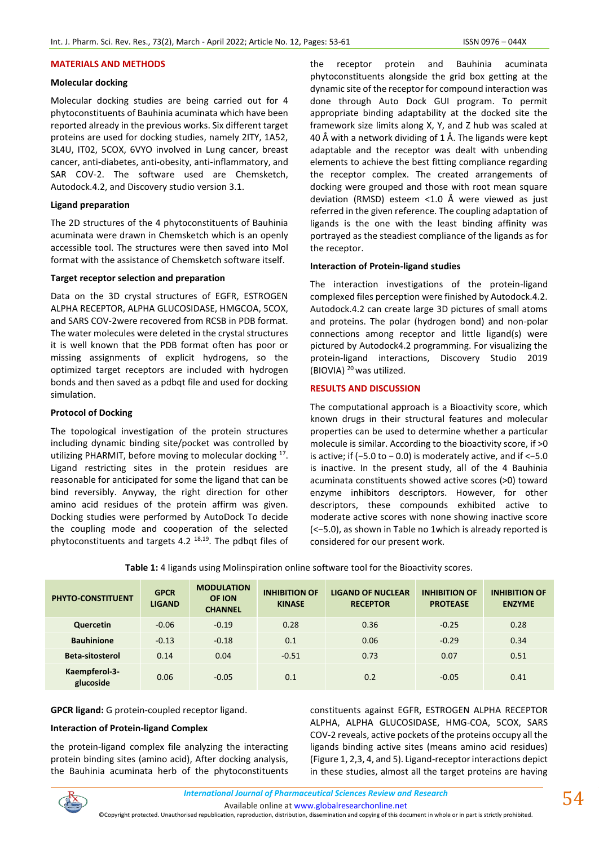#### **MATERIALS AND METHODS**

# **Molecular docking**

Molecular docking studies are being carried out for 4 phytoconstituents of Bauhinia acuminata which have been reported already in the previous works. Six different target proteins are used for docking studies, namely 2ITY, 1A52, 3L4U, IT02, 5COX, 6VYO involved in Lung cancer, breast cancer, anti-diabetes, anti-obesity, anti-inflammatory, and SAR COV-2. The software used are Chemsketch, Autodock.4.2, and Discovery studio version 3.1.

# **Ligand preparation**

The 2D structures of the 4 phytoconstituents of Bauhinia acuminata were drawn in Chemsketch which is an openly accessible tool. The structures were then saved into Mol format with the assistance of Chemsketch software itself.

# **Target receptor selection and preparation**

Data on the 3D crystal structures of EGFR, ESTROGEN ALPHA RECEPTOR, ALPHA GLUCOSIDASE, HMGCOA, 5COX, and SARS COV-2were recovered from RCSB in PDB format. The water molecules were deleted in the crystal structures it is well known that the PDB format often has poor or missing assignments of explicit hydrogens, so the optimized target receptors are included with hydrogen bonds and then saved as a pdbqt file and used for docking simulation.

# **Protocol of Docking**

The topological investigation of the protein structures including dynamic binding site/pocket was controlled by utilizing PHARMIT, before moving to molecular docking <sup>17</sup>. Ligand restricting sites in the protein residues are reasonable for anticipated for some the ligand that can be bind reversibly. Anyway, the right direction for other amino acid residues of the protein affirm was given. Docking studies were performed by AutoDock To decide the coupling mode and cooperation of the selected phytoconstituents and targets 4.2 18,19. The pdbqt files of

the receptor protein and Bauhinia acuminata phytoconstituents alongside the grid box getting at the dynamic site of the receptor for compound interaction was done through Auto Dock GUI program. To permit appropriate binding adaptability at the docked site the framework size limits along X, Y, and Z hub was scaled at 40 Å with a network dividing of 1 Å. The ligands were kept adaptable and the receptor was dealt with unbending elements to achieve the best fitting compliance regarding the receptor complex. The created arrangements of docking were grouped and those with root mean square deviation (RMSD) esteem <1.0 Å were viewed as just referred in the given reference. The coupling adaptation of ligands is the one with the least binding affinity was portrayed as the steadiest compliance of the ligands as for the receptor.

#### **Interaction of Protein-ligand studies**

The interaction investigations of the protein-ligand complexed files perception were finished by Autodock.4.2. Autodock.4.2 can create large 3D pictures of small atoms and proteins. The polar (hydrogen bond) and non-polar connections among receptor and little ligand(s) were pictured by Autodock4.2 programming. For visualizing the protein-ligand interactions, Discovery Studio 2019 (BIOVIA)  $^{20}$  was utilized.

# **RESULTS AND DISCUSSION**

The computational approach is a Bioactivity score, which known drugs in their structural features and molecular properties can be used to determine whether a particular molecule is similar. According to the bioactivity score, if >0 is active; if (−5.0 to − 0.0) is moderately active, and if <−5.0 is inactive. In the present study, all of the 4 Bauhinia acuminata constituents showed active scores (>0) toward enzyme inhibitors descriptors. However, for other descriptors, these compounds exhibited active to moderate active scores with none showing inactive score (<−5.0), as shown in Table no 1which is already reported is considered for our present work.

| <b>PHYTO-CONSTITUENT</b>   | <b>GPCR</b><br><b>LIGAND</b> | <b>MODULATION</b><br>OF ION<br><b>CHANNEL</b> | <b>INHIBITION OF</b><br><b>KINASE</b> | <b>LIGAND OF NUCLEAR</b><br><b>RECEPTOR</b> | <b>INHIBITION OF</b><br><b>PROTEASE</b> | <b>INHIBITION OF</b><br><b>ENZYME</b> |
|----------------------------|------------------------------|-----------------------------------------------|---------------------------------------|---------------------------------------------|-----------------------------------------|---------------------------------------|
| Quercetin                  | $-0.06$                      | $-0.19$                                       | 0.28                                  | 0.36                                        | $-0.25$                                 | 0.28                                  |
| <b>Bauhinione</b>          | $-0.13$                      | $-0.18$                                       |                                       | 0.06                                        | $-0.29$                                 | 0.34                                  |
| <b>Beta-sitosterol</b>     | 0.14                         | 0.04                                          | $-0.51$                               | 0.73                                        | 0.07                                    | 0.51                                  |
| Kaempferol-3-<br>glucoside | 0.06                         | $-0.05$                                       | 0.1                                   | 0.2                                         | $-0.05$                                 | 0.41                                  |

**GPCR ligand:** G protein-coupled receptor ligand.

# **Interaction of Protein-ligand Complex**

the protein-ligand complex file analyzing the interacting protein binding sites (amino acid), After docking analysis, the Bauhinia acuminata herb of the phytoconstituents constituents against EGFR, ESTROGEN ALPHA RECEPTOR ALPHA, ALPHA GLUCOSIDASE, HMG-COA, 5COX, SARS COV-2 reveals, active pockets of the proteins occupy all the ligands binding active sites (means amino acid residues) (Figure 1, 2,3, 4, and 5). Ligand-receptor interactions depict in these studies, almost all the target proteins are having



Available online a[t www.globalresearchonline.net](http://www.globalresearchonline.net/)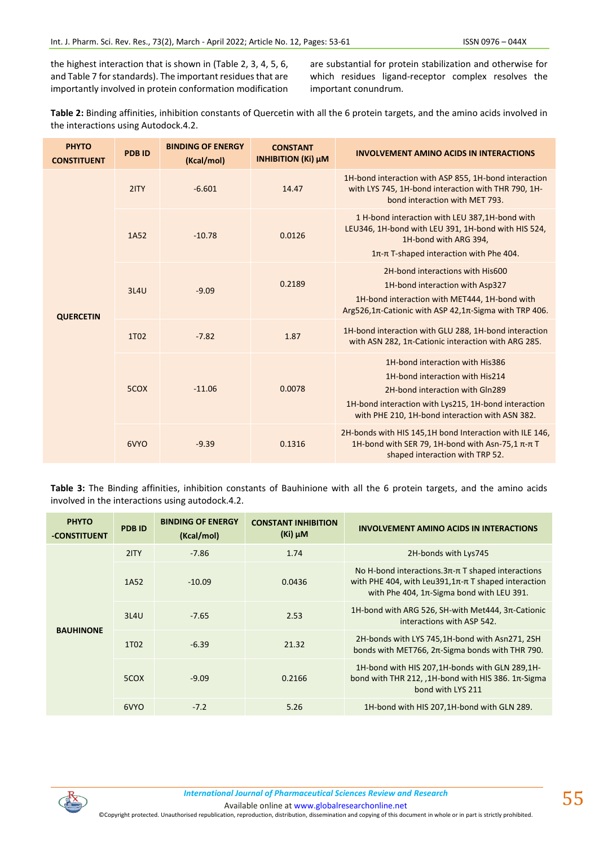the highest interaction that is shown in (Table 2, 3, 4, 5, 6, and Table 7 for standards). The important residues that are importantly involved in protein conformation modification

are substantial for protein stabilization and otherwise for which residues ligand-receptor complex resolves the important conundrum.

| Table 2: Binding affinities, inhibition constants of Quercetin with all the 6 protein targets, and the amino acids involved in |  |
|--------------------------------------------------------------------------------------------------------------------------------|--|
| the interactions using Autodock.4.2.                                                                                           |  |

| <b>PHYTO</b><br><b>CONSTITUENT</b> | <b>PDB ID</b> | <b>BINDING OF ENERGY</b><br>(Kcal/mol) | <b>CONSTANT</b><br><b>INHIBITION (Ki) µM</b> | <b>INVOLVEMENT AMINO ACIDS IN INTERACTIONS</b>                                                                                                                                                                   |
|------------------------------------|---------------|----------------------------------------|----------------------------------------------|------------------------------------------------------------------------------------------------------------------------------------------------------------------------------------------------------------------|
|                                    | 2ITY          | $-6.601$                               | 14.47                                        | 1H-bond interaction with ASP 855, 1H-bond interaction<br>with LYS 745, 1H-bond interaction with THR 790, 1H-<br>bond interaction with MET 793.                                                                   |
|                                    | 1A52          | $-10.78$                               | 0.0126                                       | 1 H-bond interaction with LEU 387,1H-bond with<br>LEU346, 1H-bond with LEU 391, 1H-bond with HIS 524,<br>1H-bond with ARG 394,<br>1π-π T-shaped interaction with Phe 404.                                        |
| <b>QUERCETIN</b>                   | 3L4U          | $-9.09$                                | 0.2189                                       | 2H-bond interactions with His600<br>1H-bond interaction with Asp327<br>1H-bond interaction with MET444, 1H-bond with<br>Arg526,1 $π$ -Cationic with ASP 42,1 $π$ -Sigma with TRP 406.                            |
|                                    | 1T02          | $-7.82$                                | 1.87                                         | 1H-bond interaction with GLU 288, 1H-bond interaction<br>with ASN 282, 1π-Cationic interaction with ARG 285.                                                                                                     |
|                                    | 5COX          | $-11.06$                               | 0.0078                                       | 1H-bond interaction with His386<br>1H-bond interaction with His214<br>2H-bond interaction with Gln289<br>1H-bond interaction with Lys215, 1H-bond interaction<br>with PHE 210, 1H-bond interaction with ASN 382. |
|                                    | 6VYO          | $-9.39$                                | 0.1316                                       | 2H-bonds with HIS 145, 1H bond Interaction with ILE 146,<br>1H-bond with SER 79, 1H-bond with Asn-75,1 π-π T<br>shaped interaction with TRP 52.                                                                  |

**Table 3:** The Binding affinities, inhibition constants of Bauhinione with all the 6 protein targets, and the amino acids involved in the interactions using autodock.4.2.

| <b>PHYTO</b><br>-CONSTITUENT | <b>PDBID</b>      | <b>BINDING OF ENERGY</b><br>(Kcal/mol) | <b>CONSTANT INHIBITION</b><br>$(Ki)$ $\mu$ M | INVOLVEMENT AMINO ACIDS IN INTERACTIONS                                                                                                                                          |  |
|------------------------------|-------------------|----------------------------------------|----------------------------------------------|----------------------------------------------------------------------------------------------------------------------------------------------------------------------------------|--|
|                              | 2ITY              | $-7.86$                                | 1.74                                         | 2H-bonds with Lys745                                                                                                                                                             |  |
|                              | 1A52              | $-10.09$                               | 0.0436                                       | No H-bond interactions. $3\pi$ - $\pi$ T shaped interactions<br>with PHE 404, with Leu391, $1\pi$ - $\pi$ T shaped interaction<br>with Phe 404, $1\pi$ -Sigma bond with LEU 391. |  |
|                              | 3L4U              | $-7.65$                                | 2.53                                         | 1H-bond with ARG 526, SH-with Met444, 3π-Cationic<br>interactions with ASP 542.                                                                                                  |  |
| <b>BAUHINONE</b>             | 1T <sub>0</sub> 2 | $-6.39$                                | 21.32                                        | 2H-bonds with LYS 745,1H-bond with Asn271, 2SH<br>bonds with MET766, 2π-Sigma bonds with THR 790.                                                                                |  |
|                              | 5COX              | $-9.09$                                | 0.2166                                       | 1H-bond with HIS 207,1H-bonds with GLN 289,1H-<br>bond with THR 212, $\mu$ H-bond with HIS 386. 1 $\pi$ -Sigma<br>bond with LYS 211                                              |  |
|                              | 6VYO              | $-7.2$                                 | 5.26                                         | 1H-bond with HIS 207,1H-bond with GLN 289.                                                                                                                                       |  |

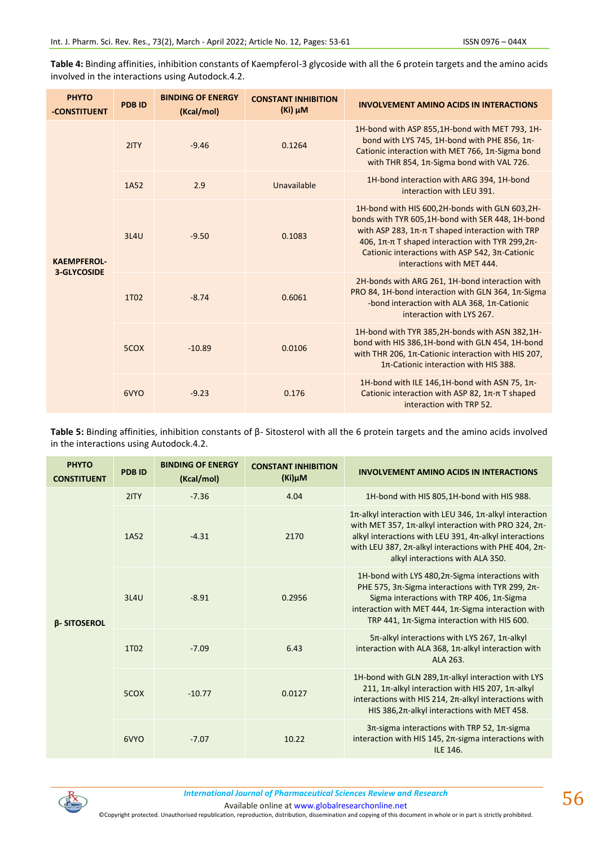**Table 4:** Binding affinities, inhibition constants of Kaempferol-3 glycoside with all the 6 protein targets and the amino acids involved in the interactions using Autodock.4.2.

| <b>PHYTO</b><br>-CONSTITUENT | <b>PDB ID</b> | <b>BINDING OF ENERGY</b><br>(Kcal/mol) | <b>CONSTANT INHIBITION</b><br>$(Ki)$ $\mu$ M | <b>INVOLVEMENT AMINO ACIDS IN INTERACTIONS</b>                                                                                                                                                                                                                                                        |
|------------------------------|---------------|----------------------------------------|----------------------------------------------|-------------------------------------------------------------------------------------------------------------------------------------------------------------------------------------------------------------------------------------------------------------------------------------------------------|
|                              | 2ITY          | $-9.46$                                | 0.1264                                       | 1H-bond with ASP 855,1H-bond with MET 793, 1H-<br>bond with LYS 745, 1H-bond with PHE 856, 1π-<br>Cationic interaction with MET 766, 1π-Sigma bond<br>with THR 854, $1\pi$ -Sigma bond with VAL 726.                                                                                                  |
|                              | 1A52          | 2.9                                    | Unavailable                                  | 1H-bond interaction with ARG 394, 1H-bond<br>interaction with LEU 391.                                                                                                                                                                                                                                |
| <b>KAEMPFEROL-</b>           | 3L4U          | $-9.50$                                | 0.1083                                       | 1H-bond with HIS 600,2H-bonds with GLN 603,2H-<br>bonds with TYR 605,1H-bond with SER 448, 1H-bond<br>with ASP 283, $1\pi$ - $\pi$ T shaped interaction with TRP<br>406, 1π-π T shaped interaction with TYR 299, 2π-<br>Cationic interactions with ASP 542, 3π-Cationic<br>interactions with MET 444. |
| <b>3-GLYCOSIDE</b>           | 1T02          | $-8.74$                                | 0.6061                                       | 2H-bonds with ARG 261, 1H-bond interaction with<br>PRO 84, 1H-bond interaction with GLN 364, 1π-Sigma<br>-bond interaction with ALA 368, $1\pi$ -Cationic<br>interaction with LYS 267.                                                                                                                |
|                              | 5COX          | $-10.89$                               | 0.0106                                       | 1H-bond with TYR 385,2H-bonds with ASN 382,1H-<br>bond with HIS 386,1H-bond with GLN 454, 1H-bond<br>with THR 206, 1π-Cationic interaction with HIS 207,<br>$1\pi$ -Cationic interaction with HIS 388.                                                                                                |
|                              | 6VYO          | $-9.23$                                | 0.176                                        | 1H-bond with ILE 146,1H-bond with ASN 75, 1π-<br>Cationic interaction with ASP 82, 1π-π T shaped<br>interaction with TRP 52.                                                                                                                                                                          |

**Table 5:** Binding affinities, inhibition constants of β- Sitosterol with all the 6 protein targets and the amino acids involved in the interactions using Autodock.4.2.

| <b>PHYTO</b><br><b>CONSTITUENT</b> | <b>PDB ID</b>     | <b>BINDING OF ENERGY</b><br>(Kcal/mol) | <b>CONSTANT INHIBITION</b><br>$(Ki)$ µM | <b>INVOLVEMENT AMINO ACIDS IN INTERACTIONS</b>                                                                                                                                                                                                                              |
|------------------------------------|-------------------|----------------------------------------|-----------------------------------------|-----------------------------------------------------------------------------------------------------------------------------------------------------------------------------------------------------------------------------------------------------------------------------|
|                                    | 2ITY              | $-7.36$                                | 4.04                                    | 1H-bond with HIS 805,1H-bond with HIS 988.                                                                                                                                                                                                                                  |
|                                    | 1A52              | $-4.31$                                | 2170                                    | 1π-alkyl interaction with LEU 346, 1π-alkyl interaction<br>with MET 357, 1π-alkyl interaction with PRO 324, 2π-<br>alkyl interactions with LEU 391, 4π-alkyl interactions<br>with LEU 387, 2π-alkyl interactions with PHE 404, 2π-<br>alkyl interactions with ALA 350.      |
| <b>B-SITOSEROL</b>                 | 3L4U              | $-8.91$                                | 0.2956                                  | 1H-bond with LYS 480, $2\pi$ -Sigma interactions with<br>PHE 575, 3π-Sigma interactions with TYR 299, 2π-<br>Sigma interactions with TRP 406, $1\pi$ -Sigma<br>interaction with MET 444, $1\pi$ -Sigma interaction with<br>TRP 441, $1\pi$ -Sigma interaction with HIS 600. |
|                                    | 1T <sub>0</sub> 2 | $-7.09$                                | 6.43                                    | $5\pi$ -alkyl interactions with LYS 267, 1 $\pi$ -alkyl<br>interaction with ALA 368, 1π-alkyl interaction with<br>ALA 263.                                                                                                                                                  |
|                                    | 5COX              | $-10.77$                               | 0.0127                                  | 1H-bond with GLN 289, 1π-alkyl interaction with LYS<br>211, 1 $\pi$ -alkyl interaction with HIS 207, 1 $\pi$ -alkyl<br>interactions with HIS 214, 2π-alkyl interactions with<br>HIS 386, $2\pi$ -alkyl interactions with MET 458.                                           |
|                                    | 6VYO              | $-7.07$                                | 10.22                                   | $3\pi$ -sigma interactions with TRP 52, 1 $\pi$ -sigma<br>interaction with HIS 145, 2 $\pi$ -sigma interactions with<br>ILE 146.                                                                                                                                            |



Available online a[t www.globalresearchonline.net](http://www.globalresearchonline.net/)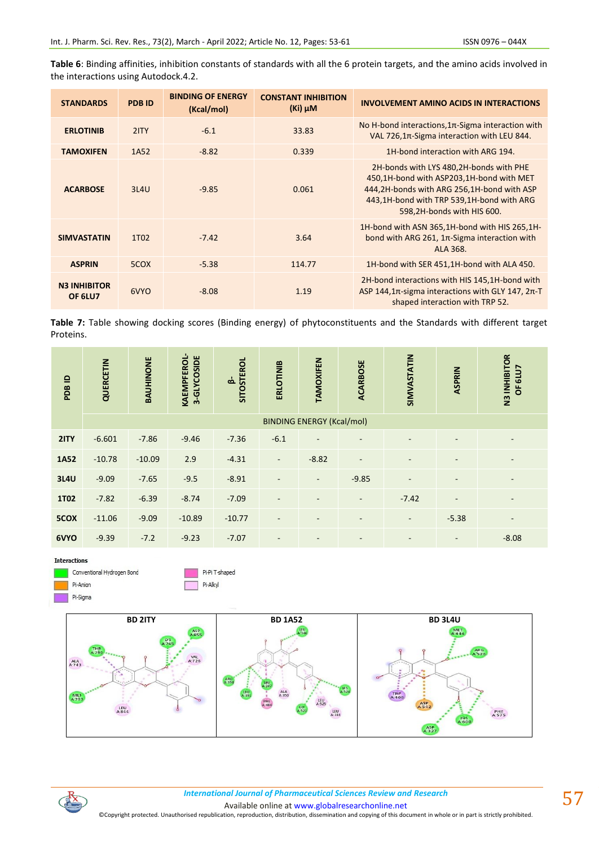**Table 6**: Binding affinities, inhibition constants of standards with all the 6 protein targets, and the amino acids involved in the interactions using Autodock.4.2.

| <b>STANDARDS</b>               | <b>PDB ID</b>     | <b>BINDING OF ENERGY</b><br>(Kcal/mol) | <b>CONSTANT INHIBITION</b><br>$(Ki)$ $\mu$ M | <b>INVOLVEMENT AMINO ACIDS IN INTERACTIONS</b>                                                                                                                                                               |
|--------------------------------|-------------------|----------------------------------------|----------------------------------------------|--------------------------------------------------------------------------------------------------------------------------------------------------------------------------------------------------------------|
| <b>ERLOTINIB</b>               | 2ITY              | $-6.1$                                 | 33.83                                        | No H-bond interactions, $1\pi$ -Sigma interaction with<br>VAL 726,1π-Sigma interaction with LEU 844.                                                                                                         |
| <b>TAMOXIFEN</b>               | 1A52              | $-8.82$                                | 0.339                                        | 1H-bond interaction with ARG 194.                                                                                                                                                                            |
| <b>ACARBOSE</b>                | 3L4U              | $-9.85$                                | 0.061                                        | 2H-bonds with LYS 480,2H-bonds with PHE<br>450,1H-bond with ASP203,1H-bond with MET<br>444,2H-bonds with ARG 256,1H-bond with ASP<br>443,1H-bond with TRP 539,1H-bond with ARG<br>598,2H-bonds with HIS 600. |
| <b>SIMVASTATIN</b>             | 1T <sub>0</sub> 2 | $-7.42$                                | 3.64                                         | 1H-bond with ASN 365,1H-bond with HIS 265,1H-<br>bond with ARG 261, $1\pi$ -Sigma interaction with<br>ALA 368.                                                                                               |
| <b>ASPRIN</b>                  | 5COX              | $-5.38$                                | 114.77                                       | 1H-bond with SER 451,1H-bond with ALA 450.                                                                                                                                                                   |
| <b>N3 INHIBITOR</b><br>OF 6LU7 | 6VYO              | $-8.08$                                | 1.19                                         | 2H-bond interactions with HIS 145,1H-bond with<br>ASP 144,1 $\pi$ -sigma interactions with GLY 147, $2\pi$ -T<br>shaped interaction with TRP 52.                                                             |

**Table 7:** Table showing docking scores (Binding energy) of phytoconstituents and the Standards with different target Proteins.

| PDB ID      | QUERCETIN | <b>BAUHINONE</b> | <b>KAEMPFEROL-</b><br>3-GLYCOSIDE | <b>SITOSTEROL</b><br>ക് | <b>ERLOTINIB</b>         | <b>TAMOXIFEN</b>                 | <b>ACARBOSE</b>          | SIMVASTATIN                  | ASPRIN                   | N3 INHIBITOR<br>GLU7<br>ŏ    |
|-------------|-----------|------------------|-----------------------------------|-------------------------|--------------------------|----------------------------------|--------------------------|------------------------------|--------------------------|------------------------------|
|             |           |                  |                                   |                         |                          | <b>BINDING ENERGY (Kcal/mol)</b> |                          |                              |                          |                              |
| 2ITY        | $-6.601$  | $-7.86$          | $-9.46$                           | $-7.36$                 | $-6.1$                   |                                  |                          |                              |                          | ٠                            |
| 1A52        | $-10.78$  | $-10.09$         | 2.9                               | $-4.31$                 | $\overline{\phantom{a}}$ | $-8.82$                          | $\overline{\phantom{a}}$ |                              | $\overline{\phantom{a}}$ | $\overline{\phantom{a}}$     |
| <b>3L4U</b> | $-9.09$   | $-7.65$          | $-9.5$                            | $-8.91$                 |                          | Ξ.                               | $-9.85$                  |                              |                          |                              |
| <b>1T02</b> | $-7.82$   | $-6.39$          | $-8.74$                           | $-7.09$                 | Ξ.                       |                                  | $\blacksquare$           | $-7.42$                      | $\blacksquare$           | $\overline{\phantom{a}}$     |
| 5COX        | $-11.06$  | $-9.09$          | $-10.89$                          | $-10.77$                | $\overline{\phantom{a}}$ | $\overline{\phantom{0}}$         | $\overline{\phantom{a}}$ | $\overline{\phantom{a}}$     | $-5.38$                  | $\qquad \qquad \blacksquare$ |
| 6VYO        | $-9.39$   | $-7.2$           | $-9.23$                           | $-7.07$                 | $\overline{\phantom{a}}$ |                                  | $\overline{\phantom{a}}$ | $\qquad \qquad \blacksquare$ | $\overline{\phantom{a}}$ | $-8.08$                      |

**Interactions** 



Pi-Pi T-shaped Pi-Alkyl



*International Journal of Pharmaceutical Sciences Review and Research International Journal of Pharmaceutical Sciences Review and Research*

Available online a[t www.globalresearchonline.net](http://www.globalresearchonline.net/)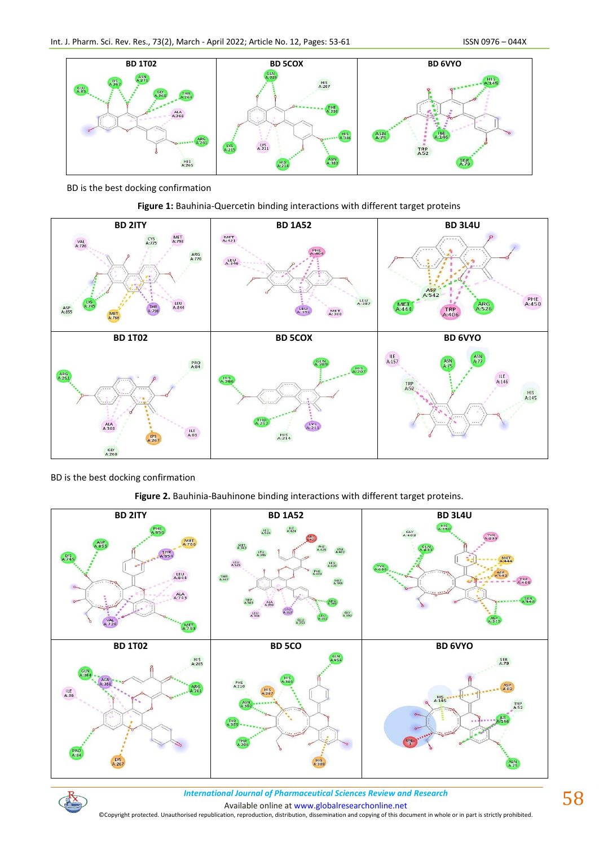

BD is the best docking confirmation





BD is the best docking confirmation

**Figure 2.** Bauhinia-Bauhinone binding interactions with different target proteins.



 $\mathbb{R}$ 

*International Journal of Pharmaceutical Sciences Review and Research International Journal of Pharmaceutical Sciences Review and Research*

Available online a[t www.globalresearchonline.net](http://www.globalresearchonline.net/)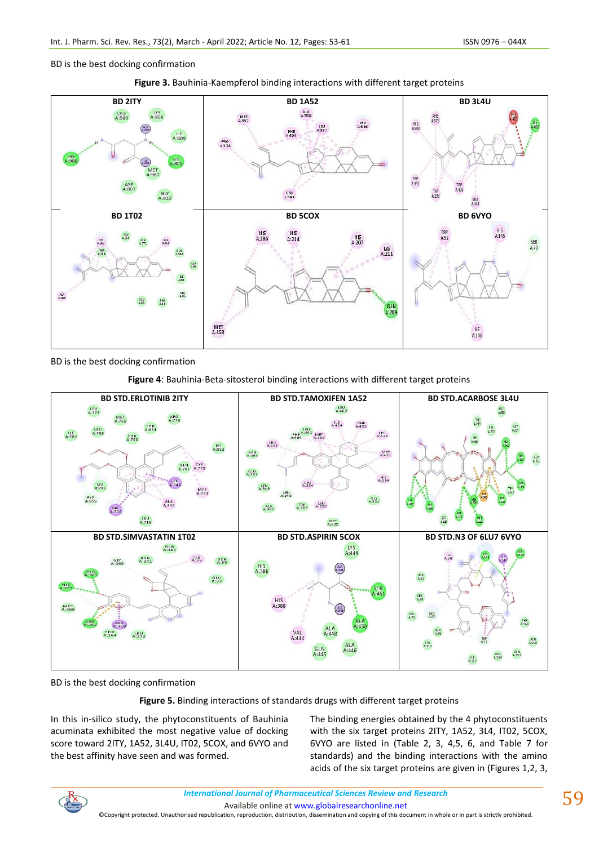BD is the best docking confirmation





BD is the best docking confirmation

**Figure 4**: Bauhinia-Beta-sitosterol binding interactions with different target proteins



BD is the best docking confirmation

**Figure 5.** Binding interactions of standards drugs with different target proteins

In this in-silico study, the phytoconstituents of Bauhinia acuminata exhibited the most negative value of docking score toward 2ITY, 1A52, 3L4U, IT02, 5COX, and 6VYO and the best affinity have seen and was formed.

The binding energies obtained by the 4 phytoconstituents with the six target proteins 2ITY, 1A52, 3L4, IT02, 5COX, 6VYO are listed in (Table 2, 3, 4,5, 6, and Table 7 for standards) and the binding interactions with the amino acids of the six target proteins are given in (Figures 1,2, 3,



Available online a[t www.globalresearchonline.net](http://www.globalresearchonline.net/)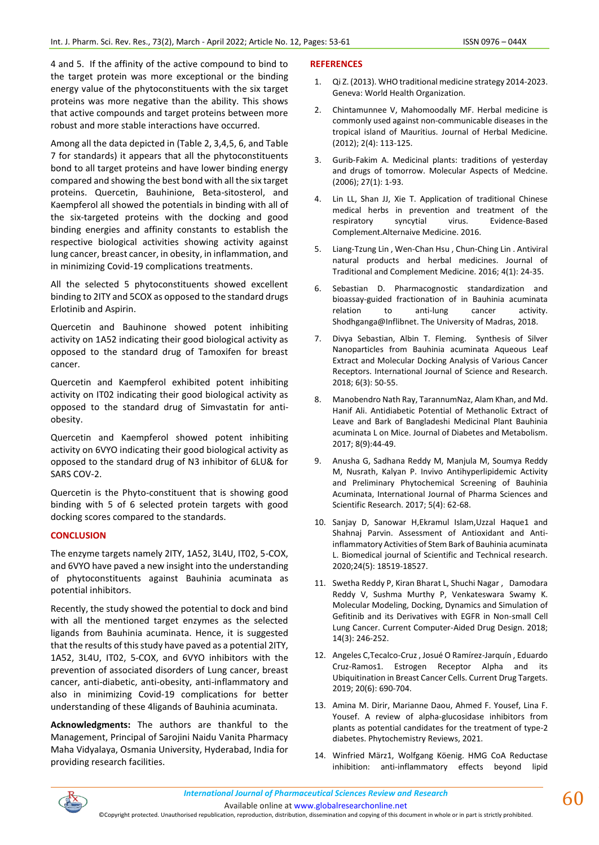4 and 5. If the affinity of the active compound to bind to the target protein was more exceptional or the binding energy value of the phytoconstituents with the six target proteins was more negative than the ability. This shows that active compounds and target proteins between more robust and more stable interactions have occurred.

Among all the data depicted in (Table 2, 3,4,5, 6, and Table 7 for standards) it appears that all the phytoconstituents bond to all target proteins and have lower binding energy compared and showing the best bond with all the six target proteins. Quercetin, Bauhinione, Beta-sitosterol, and Kaempferol all showed the potentials in binding with all of the six-targeted proteins with the docking and good binding energies and affinity constants to establish the respective biological activities showing activity against lung cancer, breast cancer, in obesity, in inflammation, and in minimizing Covid-19 complications treatments.

All the selected 5 phytoconstituents showed excellent binding to 2ITY and 5COX as opposed to the standard drugs Erlotinib and Aspirin.

Quercetin and Bauhinone showed potent inhibiting activity on 1A52 indicating their good biological activity as opposed to the standard drug of Tamoxifen for breast cancer.

Quercetin and Kaempferol exhibited potent inhibiting activity on IT02 indicating their good biological activity as opposed to the standard drug of Simvastatin for antiobesity.

Quercetin and Kaempferol showed potent inhibiting activity on 6VYO indicating their good biological activity as opposed to the standard drug of N3 inhibitor of 6LU& for SARS COV-2.

Quercetin is the Phyto-constituent that is showing good binding with 5 of 6 selected protein targets with good docking scores compared to the standards.

# **CONCLUSION**

The enzyme targets namely 2ITY, 1A52, 3L4U, IT02, 5-COX, and 6VYO have paved a new insight into the understanding of phytoconstituents against Bauhinia acuminata as potential inhibitors.

Recently, the study showed the potential to dock and bind with all the mentioned target enzymes as the selected ligands from Bauhinia acuminata. Hence, it is suggested that the results of this study have paved as a potential 2ITY, 1A52, 3L4U, IT02, 5-COX, and 6VYO inhibitors with the prevention of associated disorders of Lung cancer, breast cancer, anti-diabetic, anti-obesity, anti-inflammatory and also in minimizing Covid-19 complications for better understanding of these 4ligands of Bauhinia acuminata.

**Acknowledgments:** The authors are thankful to the Management, Principal of Sarojini Naidu Vanita Pharmacy Maha Vidyalaya, Osmania University, Hyderabad, India for providing research facilities.

#### **REFERENCES**

- 1. Qi Z. (2013). WHO traditional medicine strategy 2014-2023. Geneva: World Health Organization.
- 2. Chintamunnee V, Mahomoodally MF. Herbal medicine is commonly used against non-communicable diseases in the tropical island of Mauritius. Journal of Herbal Medicine. (2012); 2(4): 113-125.
- 3. Gurib-Fakim A. Medicinal plants: traditions of yesterday and drugs of tomorrow. Molecular Aspects of Medcine. (2006); 27(1): 1-93.
- 4. Lin LL, Shan JJ, Xie T. Application of traditional Chinese medical herbs in prevention and treatment of the respiratory syncytial virus. Evidence-Based Complement.Alternaive Medicine. 2016.
- 5. Liang-Tzung Lin , Wen-Chan Hsu , Chun-Ching Lin . Antiviral natural products and herbal medicines. Journal of Traditional and Complement Medicine. 2016; 4(1): 24-35.
- 6. Sebastian D. Pharmacognostic standardization and bioassay-guided fractionation of in Bauhinia acuminata relation to anti-lung cancer activity. Shodhganga@Inflibnet. The University of Madras, 2018.
- 7. Divya Sebastian, Albin T. Fleming. Synthesis of Silver Nanoparticles from Bauhinia acuminata Aqueous Leaf Extract and Molecular Docking Analysis of Various Cancer Receptors. International Journal of Science and Research. 2018; 6(3): 50-55.
- 8. Manobendro Nath Ray, TarannumNaz, Alam Khan, and Md. Hanif Ali. Antidiabetic Potential of Methanolic Extract of Leave and Bark of Bangladeshi Medicinal Plant Bauhinia acuminata L on Mice. Journal of Diabetes and Metabolism. 2017; 8(9):44-49.
- 9. Anusha G, Sadhana Reddy M, Manjula M, Soumya Reddy M, Nusrath, Kalyan P. Invivo Antihyperlipidemic Activity and Preliminary Phytochemical Screening of Bauhinia Acuminata, International Journal of Pharma Sciences and Scientific Research. 2017; 5(4): 62-68.
- 10. Sanjay D, Sanowar H,Ekramul Islam, Uzzal Haque1 and Shahnaj Parvin. Assessment of Antioxidant and Antiinflammatory Activities of Stem Bark of Bauhinia acuminata L. Biomedical journal of Scientific and Technical research. 2020;24(5): 18519-18527.
- 11. Swetha Reddy P, Kiran Bharat L, Shuchi Nagar , Damodara Reddy V, Sushma Murthy P, Venkateswara Swamy K. Molecular Modeling, Docking, Dynamics and Simulation of Gefitinib and its Derivatives with EGFR in Non-small Cell Lung Cancer. Current Computer-Aided Drug Design. 2018; 14(3): 246-252.
- 12. Angeles C,Tecalco-Cruz , Josué O Ramírez-Jarquín , Eduardo Cruz-Ramos1. Estrogen Receptor Alpha and its Ubiquitination in Breast Cancer Cells. Current Drug Targets. 2019; 20(6): 690-704.
- 13. Amina M. Dirir, Marianne Daou, Ahmed F. Yousef, Lina F. Yousef. A review of alpha-glucosidase inhibitors from plants as potential candidates for the treatment of type-2 diabetes. Phytochemistry Reviews, 2021.
- 14. Winfried März1, Wolfgang Köenig. HMG CoA Reductase inhibition: anti-inflammatory effects beyond lipid



Available online a[t www.globalresearchonline.net](http://www.globalresearchonline.net/)